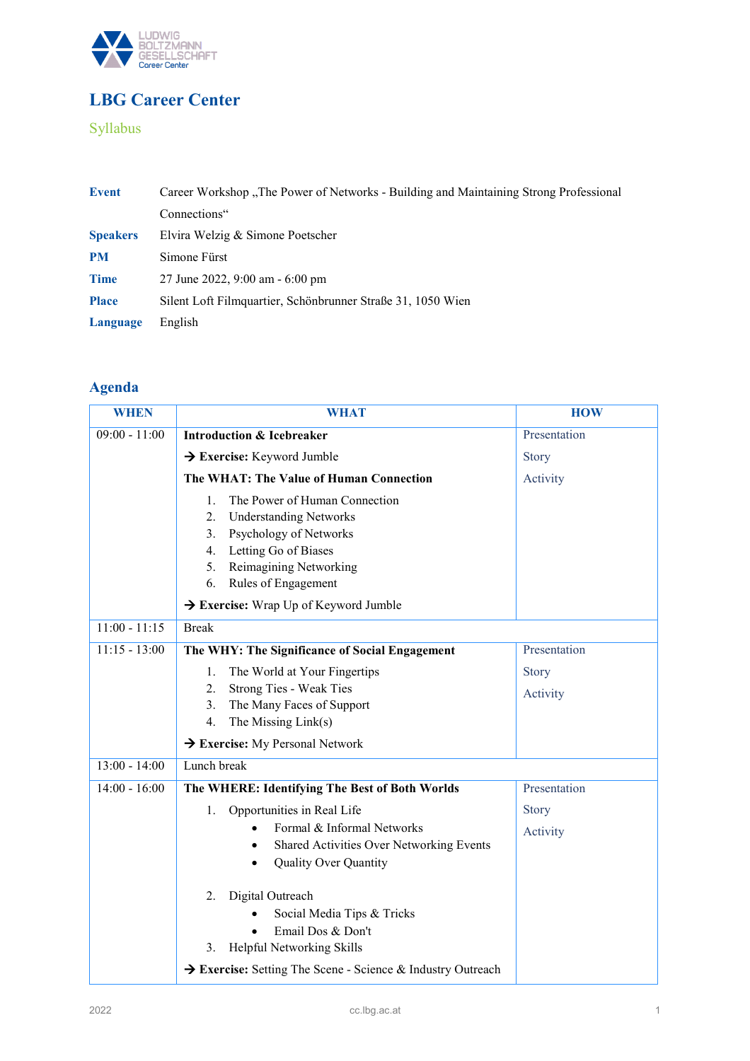

# **LBG Career Center**

### Syllabus

| <b>Event</b>    | Career Workshop "The Power of Networks - Building and Maintaining Strong Professional |
|-----------------|---------------------------------------------------------------------------------------|
|                 | Connections"                                                                          |
| <b>Speakers</b> | Elvira Welzig & Simone Poetscher                                                      |
| <b>PM</b>       | Simone Fürst                                                                          |
| <b>Time</b>     | 27 June 2022, 9:00 am - 6:00 pm                                                       |
| <b>Place</b>    | Silent Loft Filmquartier, Schönbrunner Straße 31, 1050 Wien                           |
| Language        | English                                                                               |

## **Agenda**

| <b>WHEN</b>     | <b>WHAT</b>                                                 | <b>HOW</b>   |
|-----------------|-------------------------------------------------------------|--------------|
| $09:00 - 11:00$ | <b>Introduction &amp; Icebreaker</b>                        | Presentation |
|                 | $\rightarrow$ Exercise: Keyword Jumble                      | Story        |
|                 | The WHAT: The Value of Human Connection                     | Activity     |
|                 | The Power of Human Connection<br>1.                         |              |
|                 | 2.<br><b>Understanding Networks</b>                         |              |
|                 | Psychology of Networks<br>3.                                |              |
|                 | Letting Go of Biases<br>4.                                  |              |
|                 | Reimagining Networking<br>5.                                |              |
|                 | 6.<br>Rules of Engagement                                   |              |
|                 | → Exercise: Wrap Up of Keyword Jumble                       |              |
| $11:00 - 11:15$ | <b>Break</b>                                                |              |
| $11:15 - 13:00$ | The WHY: The Significance of Social Engagement              | Presentation |
|                 | The World at Your Fingertips<br>1.                          | <b>Story</b> |
|                 | Strong Ties - Weak Ties<br>2.                               | Activity     |
|                 | The Many Faces of Support<br>3.                             |              |
|                 | The Missing Link(s)<br>4.                                   |              |
|                 | $\rightarrow$ Exercise: My Personal Network                 |              |
| $13:00 - 14:00$ | Lunch break                                                 |              |
| $14:00 - 16:00$ | The WHERE: Identifying The Best of Both Worlds              | Presentation |
|                 | Opportunities in Real Life<br>1.                            | Story        |
|                 | Formal & Informal Networks                                  | Activity     |
|                 | Shared Activities Over Networking Events                    |              |
|                 | <b>Quality Over Quantity</b><br>$\bullet$                   |              |
|                 | Digital Outreach<br>2.                                      |              |
|                 | Social Media Tips & Tricks                                  |              |
|                 | Email Dos & Don't                                           |              |
|                 | Helpful Networking Skills<br>3.                             |              |
|                 | → Exercise: Setting The Scene - Science & Industry Outreach |              |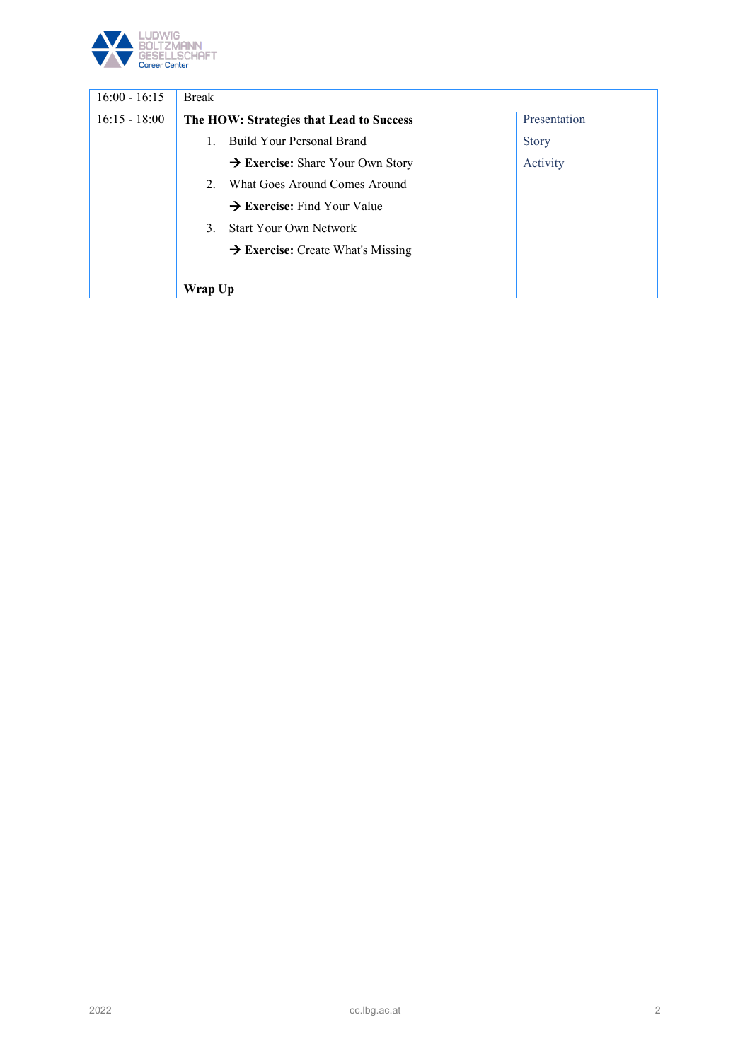

| $16:00 - 16:15$ | <b>Break</b>                                    |              |
|-----------------|-------------------------------------------------|--------------|
| $16:15 - 18:00$ | The HOW: Strategies that Lead to Success        | Presentation |
|                 | Build Your Personal Brand                       | <b>Story</b> |
|                 | $\rightarrow$ Exercise: Share Your Own Story    | Activity     |
|                 | What Goes Around Comes Around<br>$2^{+}$        |              |
|                 | $\rightarrow$ Exercise: Find Your Value         |              |
|                 | <b>Start Your Own Network</b><br>3 <sub>1</sub> |              |
|                 | $\rightarrow$ Exercise: Create What's Missing   |              |
|                 |                                                 |              |
|                 | Wrap Up                                         |              |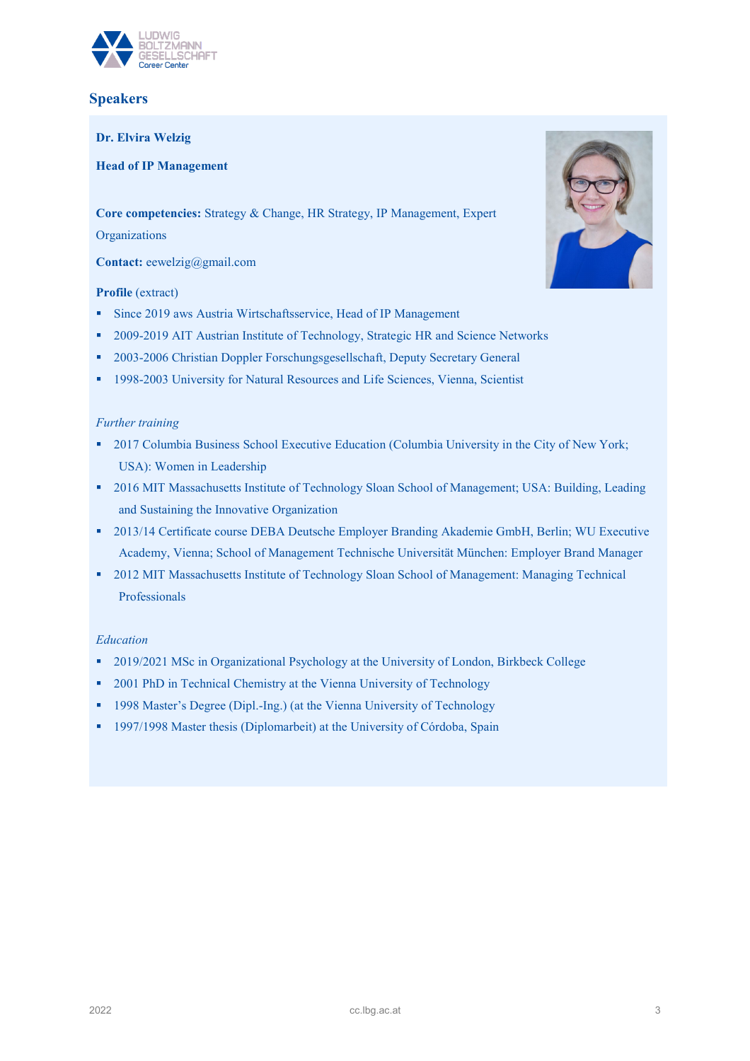

### **Speakers**

**Dr. Elvira Welzig**

**Head of IP Management**

**Core competencies:** Strategy & Change, HR Strategy, IP Management, Expert

**Organizations** 

**Contact:** eewelzig@gmail.com

#### **Profile** (extract)

- Since 2019 aws Austria Wirtschaftsservice, Head of IP Management
- <sup>2</sup> 2009-2019 AIT Austrian Institute of Technology, Strategic HR and Science Networks
- 2003-2006 Christian Doppler Forschungsgesellschaft, Deputy Secretary General
- <sup>1998-2003</sup> University for Natural Resources and Life Sciences, Vienna, Scientist

#### *Further training*

- <sup>2017</sup> Columbia Business School Executive Education (Columbia University in the City of New York; USA): Women in Leadership
- 2016 MIT Massachusetts Institute of Technology Sloan School of Management; USA: Building, Leading and Sustaining the Innovative Organization
- 2013/14 Certificate course DEBA Deutsche Employer Branding Akademie GmbH, Berlin; WU Executive Academy, Vienna; School of Management Technische Universität München: Employer Brand Manager
- 2012 MIT Massachusetts Institute of Technology Sloan School of Management: Managing Technical Professionals

#### *Education*

- <sup>2019/2021</sup> MSc in Organizational Psychology at the University of London, Birkbeck College
- <sup>2001</sup> PhD in Technical Chemistry at the Vienna University of Technology
- <sup>1998</sup> Master's Degree (Dipl.-Ing.) (at the Vienna University of Technology
- <sup>1997/1998</sup> Master thesis (Diplomarbeit) at the University of Córdoba, Spain